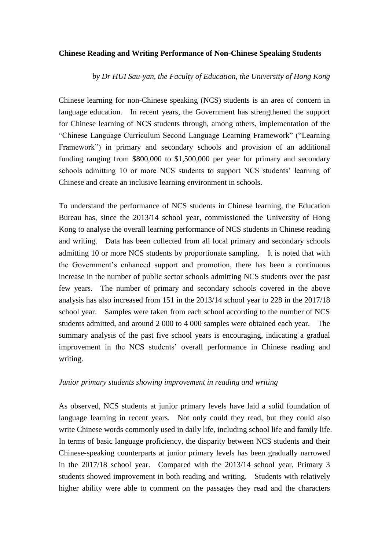## **Chinese Reading and Writing Performance of Non-Chinese Speaking Students**

## *by Dr HUI Sau-yan, the Faculty of Education, the University of Hong Kong*

Chinese learning for non-Chinese speaking (NCS) students is an area of concern in language education. In recent years, the Government has strengthened the support for Chinese learning of NCS students through, among others, implementation of the "Chinese Language Curriculum Second Language Learning Framework" ("Learning Framework") in primary and secondary schools and provision of an additional funding ranging from \$800,000 to \$1,500,000 per year for primary and secondary schools admitting 10 or more NCS students to support NCS students' learning of Chinese and create an inclusive learning environment in schools.

To understand the performance of NCS students in Chinese learning, the Education Bureau has, since the 2013/14 school year, commissioned the University of Hong Kong to analyse the overall learning performance of NCS students in Chinese reading and writing. Data has been collected from all local primary and secondary schools admitting 10 or more NCS students by proportionate sampling. It is noted that with the Government's enhanced support and promotion, there has been a continuous increase in the number of public sector schools admitting NCS students over the past few years. The number of primary and secondary schools covered in the above analysis has also increased from 151 in the 2013/14 school year to 228 in the 2017/18 school year. Samples were taken from each school according to the number of NCS students admitted, and around 2 000 to 4 000 samples were obtained each year. The summary analysis of the past five school years is encouraging, indicating a gradual improvement in the NCS students' overall performance in Chinese reading and writing.

## *Junior primary students showing improvement in reading and writing*

As observed, NCS students at junior primary levels have laid a solid foundation of language learning in recent years. Not only could they read, but they could also write Chinese words commonly used in daily life, including school life and family life. In terms of basic language proficiency, the disparity between NCS students and their Chinese-speaking counterparts at junior primary levels has been gradually narrowed in the 2017/18 school year. Compared with the 2013/14 school year, Primary 3 students showed improvement in both reading and writing. Students with relatively higher ability were able to comment on the passages they read and the characters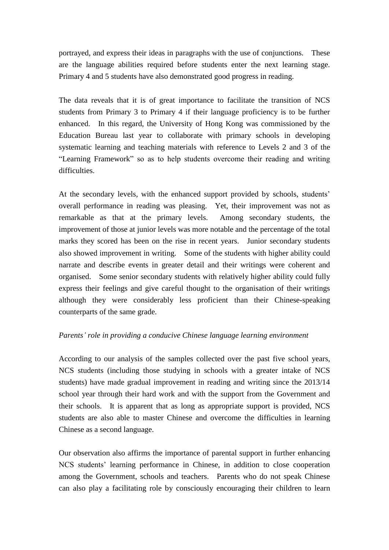portrayed, and express their ideas in paragraphs with the use of conjunctions. These are the language abilities required before students enter the next learning stage. Primary 4 and 5 students have also demonstrated good progress in reading.

The data reveals that it is of great importance to facilitate the transition of NCS students from Primary 3 to Primary 4 if their language proficiency is to be further enhanced. In this regard, the University of Hong Kong was commissioned by the Education Bureau last year to collaborate with primary schools in developing systematic learning and teaching materials with reference to Levels 2 and 3 of the "Learning Framework" so as to help students overcome their reading and writing difficulties.

At the secondary levels, with the enhanced support provided by schools, students' overall performance in reading was pleasing. Yet, their improvement was not as remarkable as that at the primary levels. Among secondary students, the improvement of those at junior levels was more notable and the percentage of the total marks they scored has been on the rise in recent years. Junior secondary students also showed improvement in writing. Some of the students with higher ability could narrate and describe events in greater detail and their writings were coherent and organised. Some senior secondary students with relatively higher ability could fully express their feelings and give careful thought to the organisation of their writings although they were considerably less proficient than their Chinese-speaking counterparts of the same grade.

## *Parents' role in providing a conducive Chinese language learning environment*

According to our analysis of the samples collected over the past five school years, NCS students (including those studying in schools with a greater intake of NCS students) have made gradual improvement in reading and writing since the 2013/14 school year through their hard work and with the support from the Government and their schools. It is apparent that as long as appropriate support is provided, NCS students are also able to master Chinese and overcome the difficulties in learning Chinese as a second language.

Our observation also affirms the importance of parental support in further enhancing NCS students' learning performance in Chinese, in addition to close cooperation among the Government, schools and teachers. Parents who do not speak Chinese can also play a facilitating role by consciously encouraging their children to learn